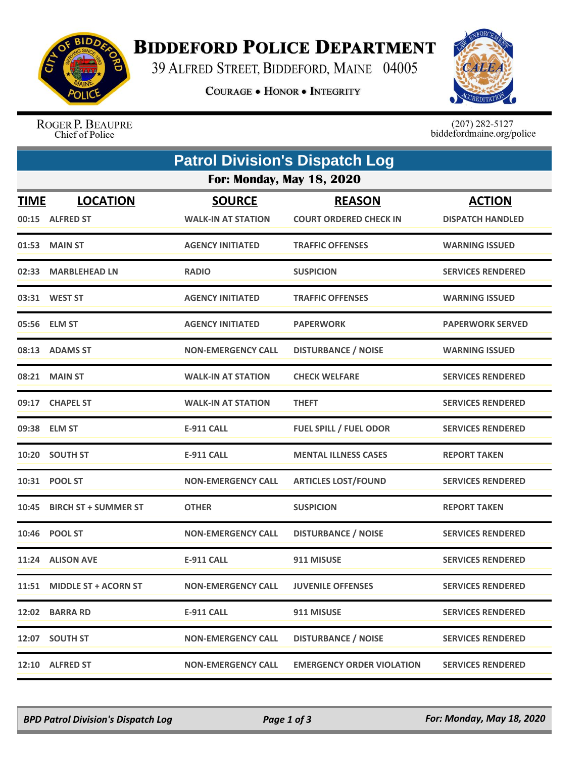

## **BIDDEFORD POLICE DEPARTMENT**

39 ALFRED STREET, BIDDEFORD, MAINE 04005

**COURAGE . HONOR . INTEGRITY** 



ROGER P. BEAUPRE Chief of Police

 $(207)$  282-5127<br>biddefordmaine.org/police

| <b>Patrol Division's Dispatch Log</b> |                                    |                                            |                                                |                                          |  |  |  |
|---------------------------------------|------------------------------------|--------------------------------------------|------------------------------------------------|------------------------------------------|--|--|--|
| <b>For: Monday, May 18, 2020</b>      |                                    |                                            |                                                |                                          |  |  |  |
| <b>TIME</b>                           | <b>LOCATION</b><br>00:15 ALFRED ST | <b>SOURCE</b><br><b>WALK-IN AT STATION</b> | <b>REASON</b><br><b>COURT ORDERED CHECK IN</b> | <b>ACTION</b><br><b>DISPATCH HANDLED</b> |  |  |  |
|                                       | 01:53 MAIN ST                      | <b>AGENCY INITIATED</b>                    | <b>TRAFFIC OFFENSES</b>                        | <b>WARNING ISSUED</b>                    |  |  |  |
|                                       | 02:33 MARBLEHEAD LN                | <b>RADIO</b>                               | <b>SUSPICION</b>                               | <b>SERVICES RENDERED</b>                 |  |  |  |
|                                       | 03:31 WEST ST                      | <b>AGENCY INITIATED</b>                    | <b>TRAFFIC OFFENSES</b>                        | <b>WARNING ISSUED</b>                    |  |  |  |
|                                       | 05:56 ELM ST                       | <b>AGENCY INITIATED</b>                    | <b>PAPERWORK</b>                               | <b>PAPERWORK SERVED</b>                  |  |  |  |
|                                       | 08:13 ADAMS ST                     | <b>NON-EMERGENCY CALL</b>                  | <b>DISTURBANCE / NOISE</b>                     | <b>WARNING ISSUED</b>                    |  |  |  |
|                                       | 08:21 MAIN ST                      | <b>WALK-IN AT STATION</b>                  | <b>CHECK WELFARE</b>                           | <b>SERVICES RENDERED</b>                 |  |  |  |
|                                       | 09:17 CHAPEL ST                    | <b>WALK-IN AT STATION</b>                  | <b>THEFT</b>                                   | <b>SERVICES RENDERED</b>                 |  |  |  |
|                                       | 09:38 ELM ST                       | <b>E-911 CALL</b>                          | <b>FUEL SPILL / FUEL ODOR</b>                  | <b>SERVICES RENDERED</b>                 |  |  |  |
|                                       | 10:20 SOUTH ST                     | <b>E-911 CALL</b>                          | <b>MENTAL ILLNESS CASES</b>                    | <b>REPORT TAKEN</b>                      |  |  |  |
|                                       | 10:31 POOL ST                      | <b>NON-EMERGENCY CALL</b>                  | <b>ARTICLES LOST/FOUND</b>                     | <b>SERVICES RENDERED</b>                 |  |  |  |
| 10:45                                 | <b>BIRCH ST + SUMMER ST</b>        | <b>OTHER</b>                               | <b>SUSPICION</b>                               | <b>REPORT TAKEN</b>                      |  |  |  |
|                                       | 10:46 POOL ST                      | <b>NON-EMERGENCY CALL</b>                  | <b>DISTURBANCE / NOISE</b>                     | <b>SERVICES RENDERED</b>                 |  |  |  |
|                                       | 11:24 ALISON AVE                   | <b>E-911 CALL</b>                          | 911 MISUSE                                     | <b>SERVICES RENDERED</b>                 |  |  |  |
|                                       | 11:51 MIDDLE ST + ACORN ST         | <b>NON-EMERGENCY CALL</b>                  | <b>JUVENILE OFFENSES</b>                       | <b>SERVICES RENDERED</b>                 |  |  |  |
|                                       | 12:02 BARRA RD                     | <b>E-911 CALL</b>                          | 911 MISUSE                                     | <b>SERVICES RENDERED</b>                 |  |  |  |
|                                       | 12:07 SOUTH ST                     | <b>NON-EMERGENCY CALL</b>                  | <b>DISTURBANCE / NOISE</b>                     | <b>SERVICES RENDERED</b>                 |  |  |  |
|                                       | 12:10 ALFRED ST                    | <b>NON-EMERGENCY CALL</b>                  | <b>EMERGENCY ORDER VIOLATION</b>               | <b>SERVICES RENDERED</b>                 |  |  |  |

*BPD Patrol Division's Dispatch Log Page 1 of 3 For: Monday, May 18, 2020*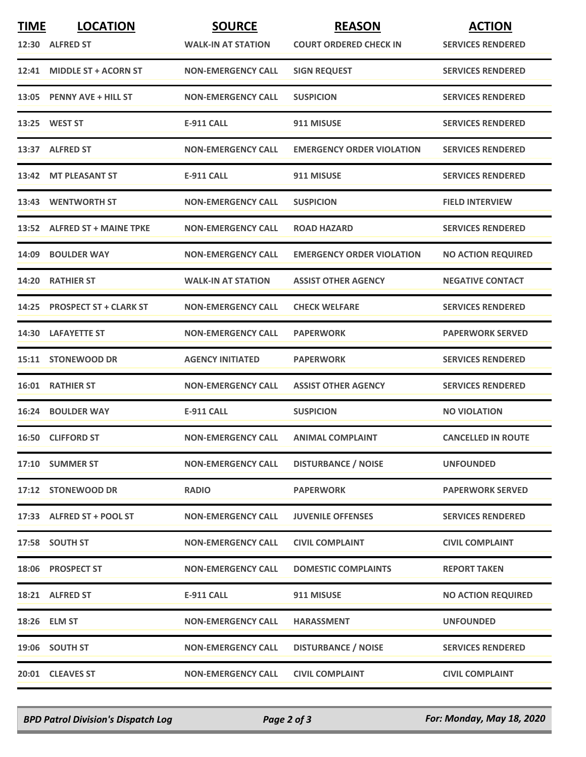| <b>TIME</b> | <b>LOCATION</b><br>12:30 ALFRED ST | <b>SOURCE</b><br><b>WALK-IN AT STATION</b> | <b>REASON</b><br><b>COURT ORDERED CHECK IN</b> | <b>ACTION</b><br><b>SERVICES RENDERED</b> |
|-------------|------------------------------------|--------------------------------------------|------------------------------------------------|-------------------------------------------|
|             | 12:41 MIDDLE ST + ACORN ST         | <b>NON-EMERGENCY CALL</b>                  | <b>SIGN REQUEST</b>                            | <b>SERVICES RENDERED</b>                  |
|             | 13:05 PENNY AVE + HILL ST          | <b>NON-EMERGENCY CALL</b>                  | <b>SUSPICION</b>                               | <b>SERVICES RENDERED</b>                  |
|             | 13:25 WEST ST                      | <b>E-911 CALL</b>                          | 911 MISUSE                                     | <b>SERVICES RENDERED</b>                  |
|             | 13:37 ALFRED ST                    | <b>NON-EMERGENCY CALL</b>                  | <b>EMERGENCY ORDER VIOLATION</b>               | <b>SERVICES RENDERED</b>                  |
|             | 13:42 MT PLEASANT ST               | <b>E-911 CALL</b>                          | 911 MISUSE                                     | <b>SERVICES RENDERED</b>                  |
|             | 13:43 WENTWORTH ST                 | <b>NON-EMERGENCY CALL</b>                  | <b>SUSPICION</b>                               | <b>FIELD INTERVIEW</b>                    |
|             | 13:52 ALFRED ST + MAINE TPKE       | <b>NON-EMERGENCY CALL</b>                  | <b>ROAD HAZARD</b>                             | <b>SERVICES RENDERED</b>                  |
|             | 14:09 BOULDER WAY                  | <b>NON-EMERGENCY CALL</b>                  | <b>EMERGENCY ORDER VIOLATION</b>               | <b>NO ACTION REQUIRED</b>                 |
| 14:20       | <b>RATHIER ST</b>                  | <b>WALK-IN AT STATION</b>                  | <b>ASSIST OTHER AGENCY</b>                     | <b>NEGATIVE CONTACT</b>                   |
|             | 14:25 PROSPECT ST + CLARK ST       | <b>NON-EMERGENCY CALL</b>                  | <b>CHECK WELFARE</b>                           | <b>SERVICES RENDERED</b>                  |
|             | 14:30 LAFAYETTE ST                 | <b>NON-EMERGENCY CALL</b>                  | <b>PAPERWORK</b>                               | <b>PAPERWORK SERVED</b>                   |
|             | 15:11 STONEWOOD DR                 | <b>AGENCY INITIATED</b>                    | <b>PAPERWORK</b>                               | <b>SERVICES RENDERED</b>                  |
|             | <b>16:01 RATHIER ST</b>            | <b>NON-EMERGENCY CALL</b>                  | <b>ASSIST OTHER AGENCY</b>                     | <b>SERVICES RENDERED</b>                  |
|             | 16:24 BOULDER WAY                  | <b>E-911 CALL</b>                          | <b>SUSPICION</b>                               | <b>NO VIOLATION</b>                       |
|             | 16:50 CLIFFORD ST                  | <b>NON-EMERGENCY CALL</b>                  | <b>ANIMAL COMPLAINT</b>                        | <b>CANCELLED IN ROUTE</b>                 |
|             | 17:10 SUMMER ST                    | <b>NON-EMERGENCY CALL</b>                  | <b>DISTURBANCE / NOISE</b>                     | <b>UNFOUNDED</b>                          |
|             | 17:12 STONEWOOD DR                 | <b>RADIO</b>                               | <b>PAPERWORK</b>                               | <b>PAPERWORK SERVED</b>                   |
|             | 17:33 ALFRED ST + POOL ST          | <b>NON-EMERGENCY CALL</b>                  | <b>JUVENILE OFFENSES</b>                       | <b>SERVICES RENDERED</b>                  |
|             | 17:58 SOUTH ST                     | <b>NON-EMERGENCY CALL</b>                  | <b>CIVIL COMPLAINT</b>                         | <b>CIVIL COMPLAINT</b>                    |
|             | 18:06 PROSPECT ST                  | <b>NON-EMERGENCY CALL</b>                  | <b>DOMESTIC COMPLAINTS</b>                     | <b>REPORT TAKEN</b>                       |
|             | 18:21 ALFRED ST                    | <b>E-911 CALL</b>                          | 911 MISUSE                                     | <b>NO ACTION REQUIRED</b>                 |
|             | 18:26 ELM ST                       | <b>NON-EMERGENCY CALL</b>                  | <b>HARASSMENT</b>                              | <b>UNFOUNDED</b>                          |
|             | 19:06 SOUTH ST                     | <b>NON-EMERGENCY CALL</b>                  | <b>DISTURBANCE / NOISE</b>                     | <b>SERVICES RENDERED</b>                  |
|             | 20:01 CLEAVES ST                   | <b>NON-EMERGENCY CALL</b>                  | <b>CIVIL COMPLAINT</b>                         | <b>CIVIL COMPLAINT</b>                    |

*BPD Patrol Division's Dispatch Log Page 2 of 3 For: Monday, May 18, 2020*